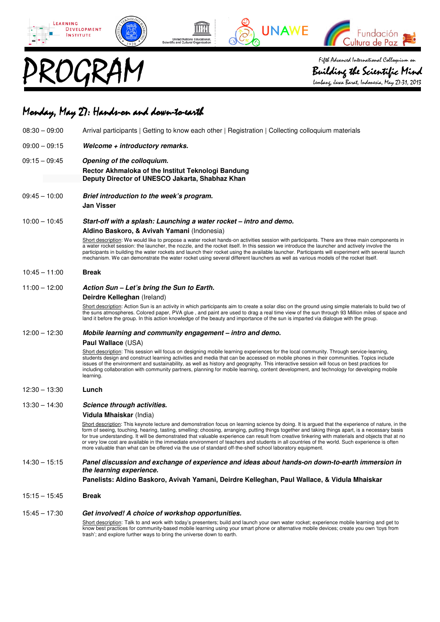







Fifth Advanced International Colloquium on<br>Building the Scientific Min<br>lembarg, Jawa Banat, Indonesia, May 27-31, 20

Building the Scientific Mind the Lembang, Jawa Barat, Indonesia, May 27-31, 2013

## Monday, May 27: Hands-on and down-to-earth

| $08:30 - 09:00$ | Arrival participants   Getting to know each other   Registration   Collecting colloquium materials                                                                                                                                                                                                                                                                                                                                                                                                                                                                                                                                                                                                                     |
|-----------------|------------------------------------------------------------------------------------------------------------------------------------------------------------------------------------------------------------------------------------------------------------------------------------------------------------------------------------------------------------------------------------------------------------------------------------------------------------------------------------------------------------------------------------------------------------------------------------------------------------------------------------------------------------------------------------------------------------------------|
| $09:00 - 09:15$ | Welcome + introductory remarks.                                                                                                                                                                                                                                                                                                                                                                                                                                                                                                                                                                                                                                                                                        |
| $09:15 - 09:45$ | Opening of the colloquium.<br>Rector Akhmaloka of the Institut Teknologi Bandung<br>Deputy Director of UNESCO Jakarta, Shabhaz Khan                                                                                                                                                                                                                                                                                                                                                                                                                                                                                                                                                                                    |
| $09:45 - 10:00$ | Brief introduction to the week's program.                                                                                                                                                                                                                                                                                                                                                                                                                                                                                                                                                                                                                                                                              |
|                 | <b>Jan Visser</b>                                                                                                                                                                                                                                                                                                                                                                                                                                                                                                                                                                                                                                                                                                      |
| $10:00 - 10:45$ | Start-off with a splash: Launching a water rocket – intro and demo.                                                                                                                                                                                                                                                                                                                                                                                                                                                                                                                                                                                                                                                    |
|                 | Aldino Baskoro, & Avivah Yamani (Indonesia)                                                                                                                                                                                                                                                                                                                                                                                                                                                                                                                                                                                                                                                                            |
|                 | Short description: We would like to propose a water rocket hands-on activities session with participants. There are three main components in<br>a water rocket session: the launcher, the nozzle, and the rocket itself. In this session we introduce the launcher and actively involve the<br>participants in building the water rockets and launch their rocket using the available launcher. Participants will experiment with several launch<br>mechanism. We can demonstrate the water rocket using several different launchers as well as various models of the rocket itself.                                                                                                                                   |
| $10:45 - 11:00$ | <b>Break</b>                                                                                                                                                                                                                                                                                                                                                                                                                                                                                                                                                                                                                                                                                                           |
| $11:00 - 12:00$ | Action Sun – Let's bring the Sun to Earth.                                                                                                                                                                                                                                                                                                                                                                                                                                                                                                                                                                                                                                                                             |
|                 | Deirdre Kelleghan (Ireland)                                                                                                                                                                                                                                                                                                                                                                                                                                                                                                                                                                                                                                                                                            |
|                 | Short description: Action Sun is an activity in which participants aim to create a solar disc on the ground using simple materials to build two of<br>the suns atmospheres. Colored paper, PVA glue, and paint are used to drag a real time view of the sun through 93 Million miles of space and<br>land it before the group. In this action knowledge of the beauty and importance of the sun is imparted via dialogue with the group.                                                                                                                                                                                                                                                                               |
| $12:00 - 12:30$ | Mobile learning and community engagement – intro and demo.                                                                                                                                                                                                                                                                                                                                                                                                                                                                                                                                                                                                                                                             |
|                 | Paul Wallace (USA)                                                                                                                                                                                                                                                                                                                                                                                                                                                                                                                                                                                                                                                                                                     |
|                 | Short description: This session will focus on designing mobile learning experiences for the local community. Through service-learning,<br>students design and construct learning activities and media that can be accessed on mobile phones in their communities. Topics include<br>issues of the environment and sustainability, as well as history and geography. This interactive session will focus on best practices for<br>including collaboration with community partners, planning for mobile learning, content development, and technology for developing mobile<br>learning.                                                                                                                                 |
| $12:30 - 13:30$ | Lunch                                                                                                                                                                                                                                                                                                                                                                                                                                                                                                                                                                                                                                                                                                                  |
| $13:30 - 14:30$ | Science through activities.                                                                                                                                                                                                                                                                                                                                                                                                                                                                                                                                                                                                                                                                                            |
|                 | Vidula Mhaiskar (India)                                                                                                                                                                                                                                                                                                                                                                                                                                                                                                                                                                                                                                                                                                |
|                 | Short description: This keynote lecture and demonstration focus on learning science by doing. It is argued that the experience of nature, in the<br>form of seeing, touching, hearing, tasting, smelling; choosing, arranging, putting things together and taking things apart, is a necessary basis<br>for true understanding. It will be demonstrated that valuable experience can result from creative tinkering with materials and objects that at no<br>or very low cost are available in the immediate environment of teachers and students in all countries of the world. Such experience is often<br>more valuable than what can be offered via the use of standard off-the-shelf school laboratory equipment. |
| $14:30 - 15:15$ | Panel discussion and exchange of experience and ideas about hands-on down-to-earth immersion in<br>the learning experience.                                                                                                                                                                                                                                                                                                                                                                                                                                                                                                                                                                                            |
|                 | Panelists: Aldino Baskoro, Avivah Yamani, Deirdre Kelleghan, Paul Wallace, & Vidula Mhaiskar                                                                                                                                                                                                                                                                                                                                                                                                                                                                                                                                                                                                                           |
| $15:15 - 15:45$ | <b>Break</b>                                                                                                                                                                                                                                                                                                                                                                                                                                                                                                                                                                                                                                                                                                           |
| $15:45 - 17:30$ | Get involved! A choice of workshop opportunities.                                                                                                                                                                                                                                                                                                                                                                                                                                                                                                                                                                                                                                                                      |
|                 | Short description: Talk to and work with today's presenters; build and launch your own water rocket; experience mobile learning and get to<br>know best practices for community-based mobile learning using your smart phone or alternative mobile devices; create you own 'toys from<br>trash'; and explore further ways to bring the universe down to earth.                                                                                                                                                                                                                                                                                                                                                         |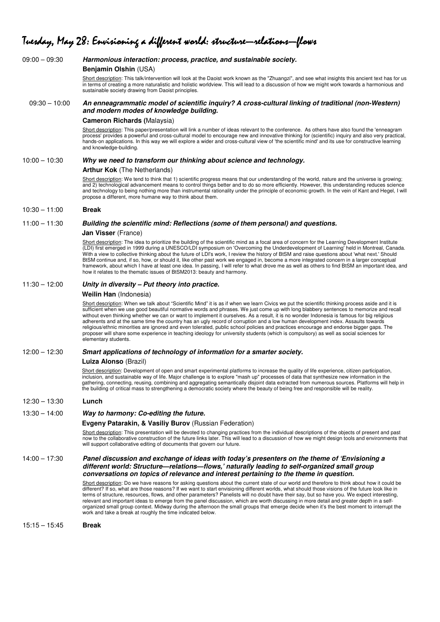# Tuesday, May 28: Envisioning a different world: structure—relations—flows

| $09:00 - 09:30$ | Harmonious interaction: process, practice, and sustainable society.                                                                                                                                                                                                                                                                                                                                                                                                                                                                                                                                                                                                                                                                                                                                                                                                                    |
|-----------------|----------------------------------------------------------------------------------------------------------------------------------------------------------------------------------------------------------------------------------------------------------------------------------------------------------------------------------------------------------------------------------------------------------------------------------------------------------------------------------------------------------------------------------------------------------------------------------------------------------------------------------------------------------------------------------------------------------------------------------------------------------------------------------------------------------------------------------------------------------------------------------------|
|                 | Benjamin Olshin (USA)                                                                                                                                                                                                                                                                                                                                                                                                                                                                                                                                                                                                                                                                                                                                                                                                                                                                  |
|                 | Short description: This talk/intervention will look at the Daoist work known as the "Zhuangzi", and see what insights this ancient text has for us<br>in terms of creating a more naturalistic and holistic worldview. This will lead to a discussion of how we might work towards a harmonious and<br>sustainable society drawing from Daoist principles.                                                                                                                                                                                                                                                                                                                                                                                                                                                                                                                             |
| $09:30 - 10:00$ | An enneagrammatic model of scientific inquiry? A cross-cultural linking of traditional (non-Western)<br>and modern modes of knowledge building.                                                                                                                                                                                                                                                                                                                                                                                                                                                                                                                                                                                                                                                                                                                                        |
|                 | <b>Cameron Richards (Malaysia)</b>                                                                                                                                                                                                                                                                                                                                                                                                                                                                                                                                                                                                                                                                                                                                                                                                                                                     |
|                 | Short description: This paper/presentation will link a number of ideas relevant to the conference. As others have also found the 'enneagram<br>process' provides a powerful and cross-cultural model to encourage new and innovative thinking for (scientific) inquiry and also very practical,<br>hands-on applications. In this way we will explore a wider and cross-cultural view of 'the scientific mind' and its use for constructive learning<br>and knowledge-building.                                                                                                                                                                                                                                                                                                                                                                                                        |
| $10:00 - 10:30$ | Why we need to transform our thinking about science and technology.                                                                                                                                                                                                                                                                                                                                                                                                                                                                                                                                                                                                                                                                                                                                                                                                                    |
|                 | <b>Arthur Kok</b> (The Netherlands)                                                                                                                                                                                                                                                                                                                                                                                                                                                                                                                                                                                                                                                                                                                                                                                                                                                    |
|                 | Short description: We tend to think that 1) scientific progress means that our understanding of the world, nature and the universe is growing;<br>and 2) technological advancement means to control things better and to do so more efficiently. However, this understanding reduces science<br>and technology to being nothing more than instrumental rationality under the principle of economic growth. In the vein of Kant and Hegel, I will<br>propose a different, more humane way to think about them.                                                                                                                                                                                                                                                                                                                                                                          |
| $10:30 - 11:00$ | <b>Break</b>                                                                                                                                                                                                                                                                                                                                                                                                                                                                                                                                                                                                                                                                                                                                                                                                                                                                           |
| $11:00 - 11:30$ | Building the scientific mind: Reflections (some of them personal) and questions.                                                                                                                                                                                                                                                                                                                                                                                                                                                                                                                                                                                                                                                                                                                                                                                                       |
|                 | Jan Visser (France)                                                                                                                                                                                                                                                                                                                                                                                                                                                                                                                                                                                                                                                                                                                                                                                                                                                                    |
|                 | Short description: The idea to prioritize the building of the scientific mind as a focal area of concern for the Learning Development Institute<br>(LDI) first emerged in 1999 during a UNESCO/LDI symposium on 'Overcoming the Underdevelopment of Learning' held in Montreal, Canada.<br>With a view to collective thinking about the future of LDI's work, I review the history of BtSM and raise questions about 'what next.' Should<br>BtSM continue and, if so, how, or should it, like other past work we engaged in, become a more integrated concern in a larger conceptual<br>framework, about which I have at least one idea. In passing, I will refer to what drove me as well as others to find BtSM an important idea, and<br>how it relates to the thematic issues of BtSM2013: beauty and harmony.                                                                     |
| $11:30 - 12:00$ | Unity in diversity – Put theory into practice.                                                                                                                                                                                                                                                                                                                                                                                                                                                                                                                                                                                                                                                                                                                                                                                                                                         |
|                 | Weilin Han (Indonesia)                                                                                                                                                                                                                                                                                                                                                                                                                                                                                                                                                                                                                                                                                                                                                                                                                                                                 |
|                 | Short description: When we talk about "Scientific Mind" it is as if when we learn Civics we put the scientific thinking process aside and it is<br>sufficient when we use good beautiful normative words and phrases. We just come up with long blabbery sentences to memorize and recall<br>without even thinking whether we can or want to implement it ourselves. As a result, it is no wonder Indonesia is famous for big religious<br>adherents and at the same time the country has an ugly record of corruption and a low human development index. Assaults towards<br>religious/ethnic minorities are ignored and even tolerated, public school policies and practices encourage and endorse bigger gaps. The<br>proposer will share some experience in teaching ideology for university students (which is compulsory) as well as social sciences for<br>elementary students. |
| $12:00 - 12:30$ | Smart applications of technology of information for a smarter society.                                                                                                                                                                                                                                                                                                                                                                                                                                                                                                                                                                                                                                                                                                                                                                                                                 |
|                 | Luiza Alonso (Brazil)                                                                                                                                                                                                                                                                                                                                                                                                                                                                                                                                                                                                                                                                                                                                                                                                                                                                  |
|                 | Short description: Development of open and smart experimental platforms to increase the quality of life experience, citizen participation,<br>inclusion, and sustainable way of life. Major challenge is to explore "mash up" processes of data that synthesize new information in the<br>gathering, connecting, reusing, combining and aggregating semantically disjoint data extracted from numerous sources. Platforms will help in<br>the building of critical mass to strengthening a democratic society where the beauty of being free and responsible will be reality.                                                                                                                                                                                                                                                                                                          |
| $12:30 - 13:30$ | Lunch                                                                                                                                                                                                                                                                                                                                                                                                                                                                                                                                                                                                                                                                                                                                                                                                                                                                                  |
| $13:30 - 14:00$ | Way to harmony: Co-editing the future.                                                                                                                                                                                                                                                                                                                                                                                                                                                                                                                                                                                                                                                                                                                                                                                                                                                 |
|                 | Evgeny Patarakin, & Vasiliy Burov (Russian Federation)                                                                                                                                                                                                                                                                                                                                                                                                                                                                                                                                                                                                                                                                                                                                                                                                                                 |
|                 | Short description: This presentation will be devoted to changing practices from the individual descriptions of the objects of present and past<br>now to the collaborative construction of the future links later. This will lead to a discussion of how we might design tools and environments that<br>will support collaborative editing of documents that govern our future.                                                                                                                                                                                                                                                                                                                                                                                                                                                                                                        |
| $14:00 - 17:30$ | Panel discussion and exchange of ideas with today's presenters on the theme of 'Envisioning a<br>different world: Structure-relations-flows,' naturally leading to self-organized small group<br>conversations on topics of relevance and interest pertaining to the theme in question.                                                                                                                                                                                                                                                                                                                                                                                                                                                                                                                                                                                                |
|                 | Short description: Do we have reasons for asking questions about the current state of our world and therefore to think about how it could be<br>different? If so, what are those reasons? If we want to start envisioning different worlds, what should those visions of the future look like in<br>terms of structure, resources, flows, and other parameters? Panelists will no doubt have their say, but so have you. We expect interesting,<br>relevant and important ideas to emerge from the panel discussion, which are worth discussing in more detail and greater depth in a self-<br>organized small group context. Midway during the afternoon the small groups that emerge decide when it's the best moment to interrupt the<br>work and take a break at roughly the time indicated below.                                                                                 |
| $15:15 - 15:45$ | <b>Break</b>                                                                                                                                                                                                                                                                                                                                                                                                                                                                                                                                                                                                                                                                                                                                                                                                                                                                           |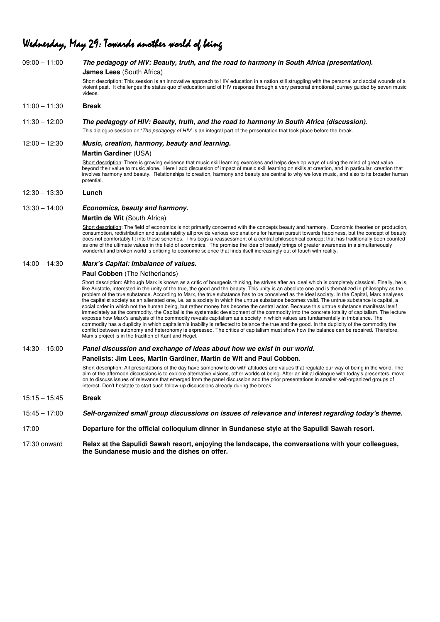### Wednesday, May 29: Towards another world of being

| $09:00 - 11:00$ | The pedagogy of HIV: Beauty, truth, and the road to harmony in South Africa (presentation).                                                                                                                                                                                                                                                                                                                                                                                                                                                                                                                                                                                                                                                                                                                                                                                                                                                                                                                                                                                                                                                                                                                                                                                                                                                                                                         |
|-----------------|-----------------------------------------------------------------------------------------------------------------------------------------------------------------------------------------------------------------------------------------------------------------------------------------------------------------------------------------------------------------------------------------------------------------------------------------------------------------------------------------------------------------------------------------------------------------------------------------------------------------------------------------------------------------------------------------------------------------------------------------------------------------------------------------------------------------------------------------------------------------------------------------------------------------------------------------------------------------------------------------------------------------------------------------------------------------------------------------------------------------------------------------------------------------------------------------------------------------------------------------------------------------------------------------------------------------------------------------------------------------------------------------------------|
|                 | <b>James Lees</b> (South Africa)                                                                                                                                                                                                                                                                                                                                                                                                                                                                                                                                                                                                                                                                                                                                                                                                                                                                                                                                                                                                                                                                                                                                                                                                                                                                                                                                                                    |
|                 | Short description: This session is an innovative approach to HIV education in a nation still struggling with the personal and social wounds of a<br>violent past. It challenges the status quo of education and of HIV response through a very personal emotional journey guided by seven music<br>videos.                                                                                                                                                                                                                                                                                                                                                                                                                                                                                                                                                                                                                                                                                                                                                                                                                                                                                                                                                                                                                                                                                          |
| $11:00 - 11:30$ | <b>Break</b>                                                                                                                                                                                                                                                                                                                                                                                                                                                                                                                                                                                                                                                                                                                                                                                                                                                                                                                                                                                                                                                                                                                                                                                                                                                                                                                                                                                        |
| $11:30 - 12:00$ | The pedagogy of HIV: Beauty, truth, and the road to harmony in South Africa (discussion).                                                                                                                                                                                                                                                                                                                                                                                                                                                                                                                                                                                                                                                                                                                                                                                                                                                                                                                                                                                                                                                                                                                                                                                                                                                                                                           |
|                 | This dialogue session on 'The pedagogy of HIV' is an integral part of the presentation that took place before the break.                                                                                                                                                                                                                                                                                                                                                                                                                                                                                                                                                                                                                                                                                                                                                                                                                                                                                                                                                                                                                                                                                                                                                                                                                                                                            |
| $12:00 - 12:30$ | Music, creation, harmony, beauty and learning.                                                                                                                                                                                                                                                                                                                                                                                                                                                                                                                                                                                                                                                                                                                                                                                                                                                                                                                                                                                                                                                                                                                                                                                                                                                                                                                                                      |
|                 | Martin Gardiner (USA)                                                                                                                                                                                                                                                                                                                                                                                                                                                                                                                                                                                                                                                                                                                                                                                                                                                                                                                                                                                                                                                                                                                                                                                                                                                                                                                                                                               |
|                 | Short description: There is growing evidence that music skill learning exercises and helps develop ways of using the mind of great value<br>beyond their value to music alone. Here I add discussion of impact of music skill learning on skills at creation, and in particular, creation that<br>involves harmony and beauty. Relationships to creation, harmony and beauty are central to why we love music, and also to its broader human<br>potential.                                                                                                                                                                                                                                                                                                                                                                                                                                                                                                                                                                                                                                                                                                                                                                                                                                                                                                                                          |
| $12:30 - 13:30$ | Lunch                                                                                                                                                                                                                                                                                                                                                                                                                                                                                                                                                                                                                                                                                                                                                                                                                                                                                                                                                                                                                                                                                                                                                                                                                                                                                                                                                                                               |
| $13:30 - 14:00$ | Economics, beauty and harmony.                                                                                                                                                                                                                                                                                                                                                                                                                                                                                                                                                                                                                                                                                                                                                                                                                                                                                                                                                                                                                                                                                                                                                                                                                                                                                                                                                                      |
|                 | Martin de Wit (South Africa)                                                                                                                                                                                                                                                                                                                                                                                                                                                                                                                                                                                                                                                                                                                                                                                                                                                                                                                                                                                                                                                                                                                                                                                                                                                                                                                                                                        |
|                 | Short description: The field of economics is not primarily concerned with the concepts beauty and harmony. Economic theories on production,<br>consumption, redistribution and sustainability all provide various explanations for human pursuit towards happiness, but the concept of beauty<br>does not comfortably fit into these schemes. This begs a reassessment of a central philosophical concept that has traditionally been counted<br>as one of the ultimate values in the field of economics. The promise the idea of beauty brings of greater awareness in a simultaneously<br>wonderful and broken world is enticing to economic science that finds itself increasingly out of touch with reality.                                                                                                                                                                                                                                                                                                                                                                                                                                                                                                                                                                                                                                                                                    |
| $14:00 - 14:30$ | Marx's Capital: Imbalance of values.                                                                                                                                                                                                                                                                                                                                                                                                                                                                                                                                                                                                                                                                                                                                                                                                                                                                                                                                                                                                                                                                                                                                                                                                                                                                                                                                                                |
|                 | Paul Cobben (The Netherlands)                                                                                                                                                                                                                                                                                                                                                                                                                                                                                                                                                                                                                                                                                                                                                                                                                                                                                                                                                                                                                                                                                                                                                                                                                                                                                                                                                                       |
|                 | Short description: Although Marx is known as a critic of bourgeois thinking, he strives after an ideal which is completely classical. Finally, he is,<br>like Aristotle, interested in the unity of the true, the good and the beauty. This unity is an absolute one and is thematized in philosophy as the<br>problem of the true substance. According to Marx, the true substance has to be conceived as the ideal society. In the Capital, Marx analyses<br>the capitalist society as an alienated one, i.e. as a society in which the untrue substance becomes valid. The untrue substance is capital, a<br>social order in which not the human being, but rather money has become the central actor. Because this untrue substance manifests itself<br>immediately as the commodity, the Capital is the systematic development of the commodity into the concrete totality of capitalism. The lecture<br>exposes how Marx's analysis of the commodity reveals capitalism as a society in which values are fundamentally in imbalance. The<br>commodity has a duplicity in which capitalism's inability is reflected to balance the true and the good. In the duplicity of the commodity the<br>conflict between autonomy and heteronomy is expressed. The critics of capitalism must show how the balance can be repaired. Therefore,<br>Marx's project is in the tradition of Kant and Hegel. |
| $14:30 - 15:00$ | Panel discussion and exchange of ideas about how we exist in our world.                                                                                                                                                                                                                                                                                                                                                                                                                                                                                                                                                                                                                                                                                                                                                                                                                                                                                                                                                                                                                                                                                                                                                                                                                                                                                                                             |
|                 | Panelists: Jim Lees, Martin Gardiner, Martin de Wit and Paul Cobben.                                                                                                                                                                                                                                                                                                                                                                                                                                                                                                                                                                                                                                                                                                                                                                                                                                                                                                                                                                                                                                                                                                                                                                                                                                                                                                                                |
|                 | Short description: All presentations of the day have somehow to do with attitudes and values that regulate our way of being in the world. The<br>aim of the afternoon discussions is to explore alternative visions, other worlds of being. After an initial dialogue with today's presenters, move<br>on to discuss issues of relevance that emerged from the panel discussion and the prior presentations in smaller self-organized groups of<br>interest. Don't hesitate to start such follow-up discussions already during the break.                                                                                                                                                                                                                                                                                                                                                                                                                                                                                                                                                                                                                                                                                                                                                                                                                                                           |
| $15:15 - 15:45$ | <b>Break</b>                                                                                                                                                                                                                                                                                                                                                                                                                                                                                                                                                                                                                                                                                                                                                                                                                                                                                                                                                                                                                                                                                                                                                                                                                                                                                                                                                                                        |
| $15:45 - 17:00$ | Self-organized small group discussions on issues of relevance and interest regarding today's theme.                                                                                                                                                                                                                                                                                                                                                                                                                                                                                                                                                                                                                                                                                                                                                                                                                                                                                                                                                                                                                                                                                                                                                                                                                                                                                                 |
| 17:00           | Departure for the official colloquium dinner in Sundanese style at the Sapulidi Sawah resort.                                                                                                                                                                                                                                                                                                                                                                                                                                                                                                                                                                                                                                                                                                                                                                                                                                                                                                                                                                                                                                                                                                                                                                                                                                                                                                       |
| 17:30 onward    | Relax at the Sapulidi Sawah resort, enjoying the landscape, the conversations with your colleagues,<br>the Sundanese music and the dishes on offer.                                                                                                                                                                                                                                                                                                                                                                                                                                                                                                                                                                                                                                                                                                                                                                                                                                                                                                                                                                                                                                                                                                                                                                                                                                                 |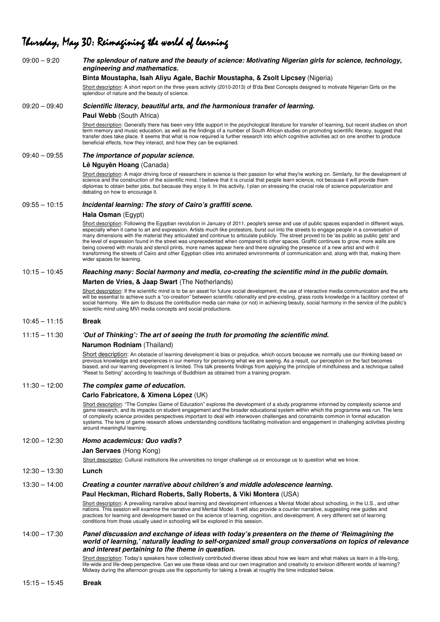### Thursday, May 30: Reimagining the world of learning

| $09:00 - 9:20$  | The splendour of nature and the beauty of science: Motivating Nigerian girls for science, technology,<br>engineering and mathematics.                                                                                                                                                                                                                                                                                                                                                                                                                                                                                                                                                                                                                                                                                                                                                                      |
|-----------------|------------------------------------------------------------------------------------------------------------------------------------------------------------------------------------------------------------------------------------------------------------------------------------------------------------------------------------------------------------------------------------------------------------------------------------------------------------------------------------------------------------------------------------------------------------------------------------------------------------------------------------------------------------------------------------------------------------------------------------------------------------------------------------------------------------------------------------------------------------------------------------------------------------|
|                 | Binta Moustapha, Isah Aliyu Agale, Bachir Moustapha, & Zsolt Lipcsey (Nigeria)                                                                                                                                                                                                                                                                                                                                                                                                                                                                                                                                                                                                                                                                                                                                                                                                                             |
|                 | Short description: A short report on the three years activity (2010-2013) of B'da Best Concepts designed to motivate Nigerian Girls on the<br>splendour of nature and the beauty of science.                                                                                                                                                                                                                                                                                                                                                                                                                                                                                                                                                                                                                                                                                                               |
| $09:20 - 09:40$ | Scientific literacy, beautiful arts, and the harmonious transfer of learning.                                                                                                                                                                                                                                                                                                                                                                                                                                                                                                                                                                                                                                                                                                                                                                                                                              |
|                 | Paul Webb (South Africa)                                                                                                                                                                                                                                                                                                                                                                                                                                                                                                                                                                                                                                                                                                                                                                                                                                                                                   |
|                 | Short description: Generally there has been very little support in the psychological literature for transfer of learning, but recent studies on short<br>term memory and music education, as well as the findings of a number of South African studies on promoting scientific literacy, suggest that<br>transfer does take place. It seems that what is now required is further research into which cognitive activities act on one another to produce<br>beneficial effects, how they interact, and how they can be explained.                                                                                                                                                                                                                                                                                                                                                                           |
| $09:40 - 09:55$ | The importance of popular science.                                                                                                                                                                                                                                                                                                                                                                                                                                                                                                                                                                                                                                                                                                                                                                                                                                                                         |
|                 | Lê Nguyên Hoang (Canada)                                                                                                                                                                                                                                                                                                                                                                                                                                                                                                                                                                                                                                                                                                                                                                                                                                                                                   |
|                 | Short description: A major driving force of researchers in science is their passion for what they're working on. Similarly, for the development of<br>science and the construction of the scientific mind, I believe that it is crucial that people learn science, not because it will provide them<br>diplomas to obtain better jobs, but because they enjoy it. In this activity, I plan on stressing the crucial role of science popularization and<br>debating on how to encourage it.                                                                                                                                                                                                                                                                                                                                                                                                                 |
| $09:55 - 10:15$ | Incidental learning: The story of Cairo's graffiti scene.                                                                                                                                                                                                                                                                                                                                                                                                                                                                                                                                                                                                                                                                                                                                                                                                                                                  |
|                 | Hala Osman (Egypt)                                                                                                                                                                                                                                                                                                                                                                                                                                                                                                                                                                                                                                                                                                                                                                                                                                                                                         |
|                 | Short description: Following the Egyptian revolution in January of 2011, people's sense and use of public spaces expanded in different ways,<br>especially when it came to art and expression. Artists much like protestors, burst out into the streets to engage people in a conversation of<br>many dimensions with the material they articulated and continue to articulate publicly. The street proved to be 'as public as public gets' and<br>the level of expression found in the street was unprecedented when compared to other spaces. Graffiti continues to grow, more walls are<br>being covered with murals and stencil prints, more names appear here and there signaling the presence of a new artist and with it<br>transforming the streets of Cairo and other Egyptian cities into animated environments of communication and, along with that, making them<br>wider spaces for learning. |
| $10:15 - 10:45$ | Reaching many: Social harmony and media, co-creating the scientific mind in the public domain.                                                                                                                                                                                                                                                                                                                                                                                                                                                                                                                                                                                                                                                                                                                                                                                                             |
|                 | Marten de Vries, & Jaap Swart (The Netherlands)                                                                                                                                                                                                                                                                                                                                                                                                                                                                                                                                                                                                                                                                                                                                                                                                                                                            |
|                 | Short description: If the scientific mind is to be an asset for future social development, the use of interactive media communication and the arts<br>will be essential to achieve such a "co-creation" between scientific rationality and pre-existing, grass roots knowledge in a facilitory context of<br>social harmony. We aim to discuss the contribution media can make (or not) in achieving beauty, social harmony in the service of the public's<br>scientific mind using MVI media concepts and social productions.                                                                                                                                                                                                                                                                                                                                                                             |
| $10:45 - 11:15$ | <b>Break</b>                                                                                                                                                                                                                                                                                                                                                                                                                                                                                                                                                                                                                                                                                                                                                                                                                                                                                               |
| $11:15 - 11:30$ | 'Out of Thinking': The art of seeing the truth for promoting the scientific mind.                                                                                                                                                                                                                                                                                                                                                                                                                                                                                                                                                                                                                                                                                                                                                                                                                          |
|                 | Narumon Rodniam (Thailand)                                                                                                                                                                                                                                                                                                                                                                                                                                                                                                                                                                                                                                                                                                                                                                                                                                                                                 |
|                 | Short description: An obstacle of learning development is bias or prejudice, which occurs because we normally use our thinking based on<br>previous knowledge and experiences in our memory for perceiving what we are seeing. As a result, our perception on the fact becomes<br>biased, and our learning development is limited. This talk presents findings from applying the principle of mindfulness and a technique called<br>"Reset to Setting" according to teachings of Buddhism as obtained from a training program.                                                                                                                                                                                                                                                                                                                                                                             |
| $11:30 - 12:00$ | The complex game of education.                                                                                                                                                                                                                                                                                                                                                                                                                                                                                                                                                                                                                                                                                                                                                                                                                                                                             |
|                 | Carlo Fabricatore, & Ximena López (UK)                                                                                                                                                                                                                                                                                                                                                                                                                                                                                                                                                                                                                                                                                                                                                                                                                                                                     |
|                 | Short description: "The Complex Game of Education" explores the development of a study programme informed by complexity science and<br>game research, and its impacts on student engagement and the broader educational system within which the programme was run. The lens<br>of complexity science provides perspectives important to deal with interwoven challenges and constraints common in formal education<br>systems. The lens of game research allows understanding conditions facilitating motivation and engagement in challenging activities pivoting<br>around meaningful learning.                                                                                                                                                                                                                                                                                                          |
| $12:00 - 12:30$ | Homo academicus: Quo vadis?                                                                                                                                                                                                                                                                                                                                                                                                                                                                                                                                                                                                                                                                                                                                                                                                                                                                                |
|                 | <b>Jan Servaes</b> (Hong Kong)                                                                                                                                                                                                                                                                                                                                                                                                                                                                                                                                                                                                                                                                                                                                                                                                                                                                             |
|                 | Short description: Cultural institutions like universities no longer challenge us or encourage us to question what we know.                                                                                                                                                                                                                                                                                                                                                                                                                                                                                                                                                                                                                                                                                                                                                                                |
| $12:30 - 13:30$ | Lunch                                                                                                                                                                                                                                                                                                                                                                                                                                                                                                                                                                                                                                                                                                                                                                                                                                                                                                      |
| $13:30 - 14:00$ | Creating a counter narrative about children's and middle adolescence learning.                                                                                                                                                                                                                                                                                                                                                                                                                                                                                                                                                                                                                                                                                                                                                                                                                             |
|                 | Paul Heckman, Richard Roberts, Sally Roberts, & Viki Montera (USA)                                                                                                                                                                                                                                                                                                                                                                                                                                                                                                                                                                                                                                                                                                                                                                                                                                         |
|                 | Short description: A prevailing narrative about learning and development influences a Mental Model about schooling, in the U.S., and other<br>nations. This session will examine the narrative and Mental Model. It will also provide a counter narrative, suggesting new guides and<br>practices for learning and development based on the science of learning, cognition, and development. A very different set of learning<br>conditions from those usually used in schooling will be explored in this session.                                                                                                                                                                                                                                                                                                                                                                                         |
| $14:00 - 17:30$ | Panel discussion and exchange of ideas with today's presenters on the theme of 'Reimagining the                                                                                                                                                                                                                                                                                                                                                                                                                                                                                                                                                                                                                                                                                                                                                                                                            |
|                 | world of learning,' naturally leading to self-organized small group conversations on topics of relevance<br>and interest pertaining to the theme in question.                                                                                                                                                                                                                                                                                                                                                                                                                                                                                                                                                                                                                                                                                                                                              |